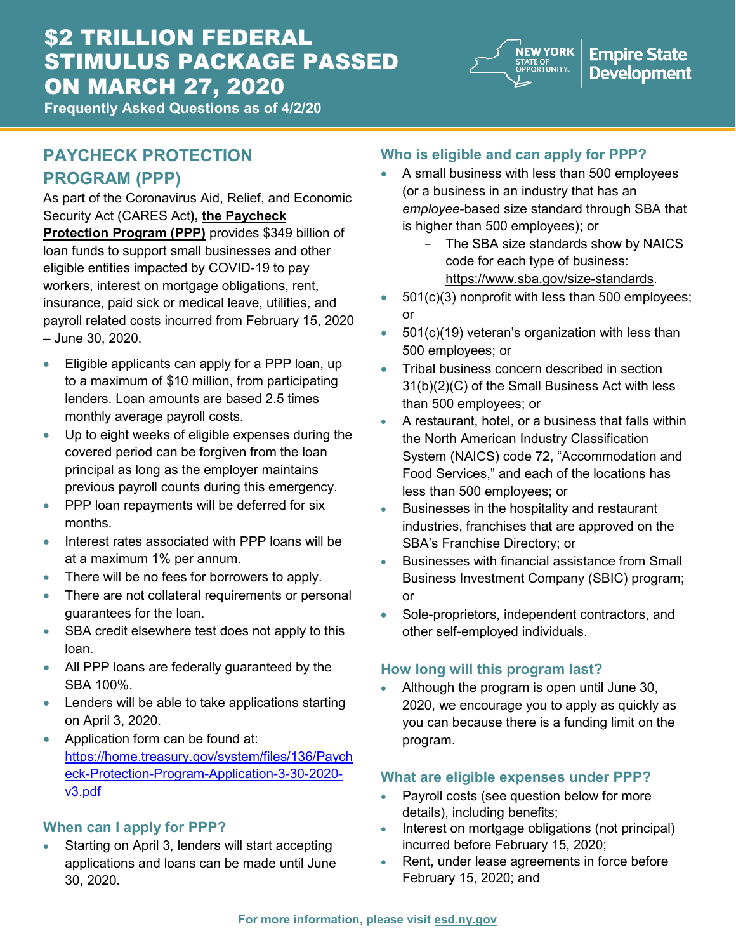# \$2 TRILLION FEDERAL STIMULUS PACKAGE PASSED ON MARCH 27, 2020



**Empire State Development** 

**Frequently Asked Questions as of 4/2/20**

# **PAYCHECK PROTECTION PROGRAM (PPP)**

As part of the Coronavirus Aid, Relief, and Economic Security Act (CARES Act**), the Paycheck Protection Program (PPP)** provides \$349 billion of

loan funds to support small businesses and other eligible entities impacted by COVID-19 to pay workers, interest on mortgage obligations, rent, insurance, paid sick or medical leave, utilities, and payroll related costs incurred from February 15, 2020 – June 30, 2020.

- Eligible applicants can apply for a PPP loan, up to a maximum of \$10 million, from participating lenders. Loan amounts are based 2.5 times monthly average payroll costs.
- Up to eight weeks of eligible expenses during the covered period can be forgiven from the loan principal as long as the employer maintains previous payroll counts during this emergency.
- PPP loan repayments will be deferred for six months.
- Interest rates associated with PPP loans will be at a maximum 1% per annum.
- There will be no fees for borrowers to apply.
- There are not collateral requirements or personal guarantees for the loan.
- SBA credit elsewhere test does not apply to this loan.
- All PPP loans are federally guaranteed by the SBA 100%.
- Lenders will be able to take applications starting on April 3, 2020.
- Application form can be found at: [https://home.treasury.gov/system/files/136/Paych](https://home.treasury.gov/system/files/136/Paycheck-Protection-Program-Application-3-30-2020-v3.pdf) [eck-Protection-Program-Application-3-30-2020](https://home.treasury.gov/system/files/136/Paycheck-Protection-Program-Application-3-30-2020-v3.pdf) [v3.pdf](https://home.treasury.gov/system/files/136/Paycheck-Protection-Program-Application-3-30-2020-v3.pdf)

# **When can I apply for PPP?**

Starting on April 3, lenders will start accepting applications and loans can be made until June 30, 2020.

# **Who is eligible and can apply for PPP?**

- A small business with less than 500 employees (or a business in an industry that has an *employee*-based size standard through SBA that is higher than 500 employees); or
	- The SBA size standards show by NAICS code for each type of business: [https://www.sba.gov/size-standards.](about:blank)
- 501(c)(3) nonprofit with less than 500 employees; or
- 501(c)(19) veteran's organization with less than 500 employees; or
- Tribal business concern described in section 31(b)(2)(C) of the Small Business Act with less than 500 employees; or
- A restaurant, hotel, or a business that falls within the North American Industry Classification System (NAICS) code 72, "Accommodation and Food Services," and each of the locations has less than 500 employees; or
- Businesses in the hospitality and restaurant industries, franchises that are approved on the SBA's Franchise Directory; or
- Businesses with financial assistance from Small Business Investment Company (SBIC) program; or
- Sole-proprietors, independent contractors, and other self-employed individuals.

# **How long will this program last?**

• Although the program is open until June 30, 2020, we encourage you to apply as quickly as you can because there is a funding limit on the program.

# **What are eligible expenses under PPP?**

- Payroll costs (see question below for more details), including benefits;
- Interest on mortgage obligations (not principal) incurred before February 15, 2020;
- Rent, under lease agreements in force before February 15, 2020; and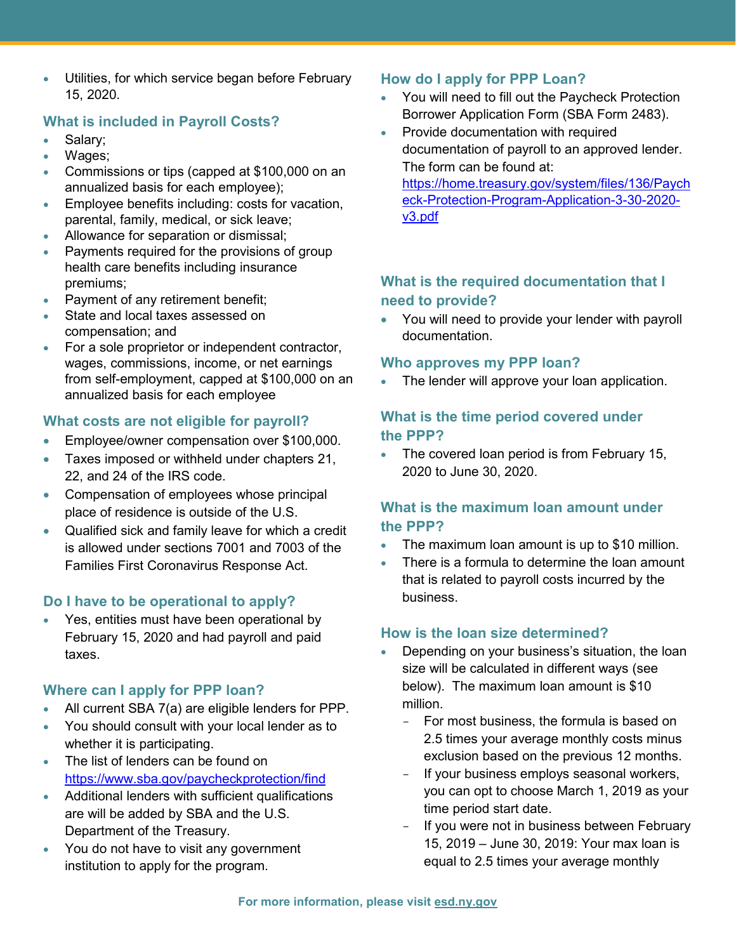Utilities, for which service began before February 15, 2020.

### **What is included in Payroll Costs?**

- Salary;
- Wages;
- Commissions or tips (capped at \$100,000 on an annualized basis for each employee);
- Employee benefits including: costs for vacation, parental, family, medical, or sick leave;
- Allowance for separation or dismissal;
- Payments required for the provisions of group health care benefits including insurance premiums;
- Payment of any retirement benefit;
- State and local taxes assessed on compensation; and
- For a sole proprietor or independent contractor, wages, commissions, income, or net earnings from self-employment, capped at \$100,000 on an annualized basis for each employee

# **What costs are not eligible for payroll?**

- Employee/owner compensation over \$100,000.
- Taxes imposed or withheld under chapters 21, 22, and 24 of the IRS code.
- Compensation of employees whose principal place of residence is outside of the U.S.
- Qualified sick and family leave for which a credit is allowed under sections 7001 and 7003 of the Families First Coronavirus Response Act.

### **Do I have to be operational to apply?**

• Yes, entities must have been operational by February 15, 2020 and had payroll and paid taxes.

### **Where can I apply for PPP loan?**

- All current SBA 7(a) are eligible lenders for PPP.
- You should consult with your local lender as to whether it is participating.
- The list of lenders can be found on <https://www.sba.gov/paycheckprotection/find>
- Additional lenders with sufficient qualifications are will be added by SBA and the U.S. Department of the Treasury.
- You do not have to visit any government institution to apply for the program.

# **How do I apply for PPP Loan?**

- You will need to fill out the Paycheck Protection Borrower Application Form (SBA Form 2483).
- Provide documentation with required documentation of payroll to an approved lender. The form can be found at: [https://home.treasury.gov/system/files/136/Paych](https://home.treasury.gov/system/files/136/Paycheck-Protection-Program-Application-3-30-2020-v3.pdf) [eck-Protection-Program-Application-3-30-2020](https://home.treasury.gov/system/files/136/Paycheck-Protection-Program-Application-3-30-2020-v3.pdf) [v3.pdf](https://home.treasury.gov/system/files/136/Paycheck-Protection-Program-Application-3-30-2020-v3.pdf)

# **What is the required documentation that I need to provide?**

• You will need to provide your lender with payroll documentation.

# **Who approves my PPP loan?**

• The lender will approve your loan application.

# **What is the time period covered under the PPP?**

• The covered loan period is from February 15, 2020 to June 30, 2020.

# **What is the maximum loan amount under the PPP?**

- The maximum loan amount is up to \$10 million.
- There is a formula to determine the loan amount that is related to payroll costs incurred by the business.

# **How is the loan size determined?**

- Depending on your business's situation, the loan size will be calculated in different ways (see below). The maximum loan amount is \$10 million.
	- For most business, the formula is based on 2.5 times your average monthly costs minus exclusion based on the previous 12 months.
	- If your business employs seasonal workers, you can opt to choose March 1, 2019 as your time period start date.
	- If you were not in business between February 15, 2019 – June 30, 2019: Your max loan is equal to 2.5 times your average monthly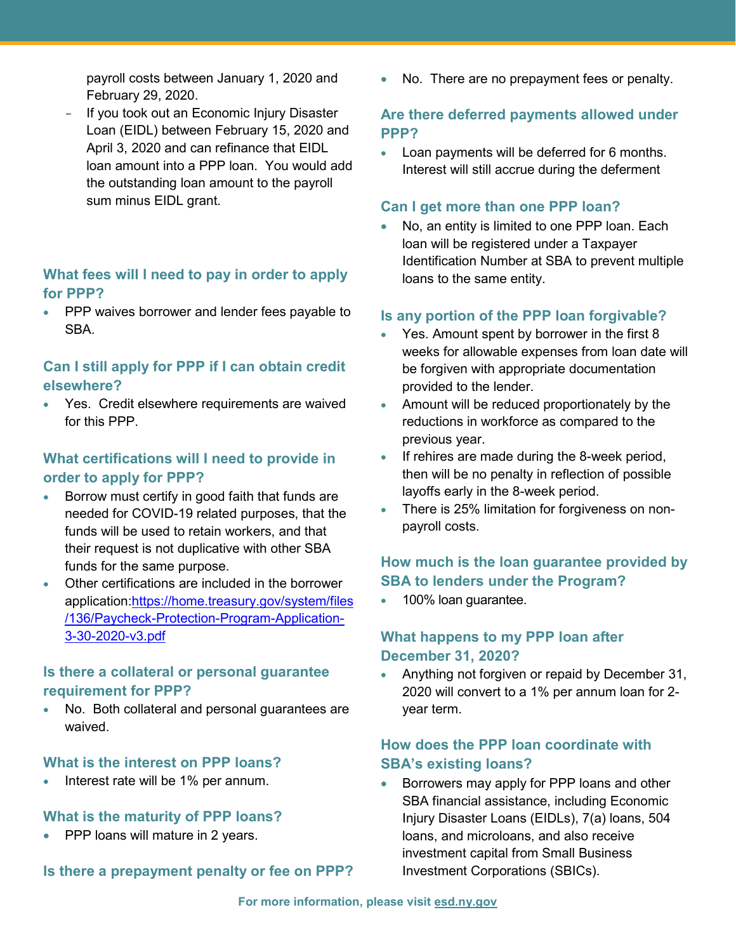payroll costs between January 1, 2020 and February 29, 2020.

 If you took out an Economic Injury Disaster Loan (EIDL) between February 15, 2020 and April 3, 2020 and can refinance that EIDL loan amount into a PPP loan. You would add the outstanding loan amount to the payroll sum minus EIDL grant.

#### **What fees will I need to pay in order to apply for PPP?**

• PPP waives borrower and lender fees payable to **SBA** 

### **Can I still apply for PPP if I can obtain credit elsewhere?**

• Yes. Credit elsewhere requirements are waived for this PPP.

### **What certifications will I need to provide in order to apply for PPP?**

- Borrow must certify in good faith that funds are needed for COVID-19 related purposes, that the funds will be used to retain workers, and that their request is not duplicative with other SBA funds for the same purpose.
- Other certifications are included in the borrower application[:https://home.treasury.gov/system/files](https://home.treasury.gov/system/files/136/Paycheck-Protection-Program-Application-3-30-2020-v3.pdf) [/136/Paycheck-Protection-Program-Application-](https://home.treasury.gov/system/files/136/Paycheck-Protection-Program-Application-3-30-2020-v3.pdf)[3-30-2020-v3.pdf](https://home.treasury.gov/system/files/136/Paycheck-Protection-Program-Application-3-30-2020-v3.pdf)

#### **Is there a collateral or personal guarantee requirement for PPP?**

No. Both collateral and personal guarantees are waived.

#### **What is the interest on PPP loans?**

• Interest rate will be 1% per annum.

#### **What is the maturity of PPP loans?**

• PPP loans will mature in 2 years.

**Is there a prepayment penalty or fee on PPP?**

No. There are no prepayment fees or penalty.

#### **Are there deferred payments allowed under PPP?**

• Loan payments will be deferred for 6 months. Interest will still accrue during the deferment

#### **Can I get more than one PPP loan?**

No, an entity is limited to one PPP loan. Each loan will be registered under a Taxpayer Identification Number at SBA to prevent multiple loans to the same entity.

#### **Is any portion of the PPP loan forgivable?**

- Yes. Amount spent by borrower in the first 8 weeks for allowable expenses from loan date will be forgiven with appropriate documentation provided to the lender.
- Amount will be reduced proportionately by the reductions in workforce as compared to the previous year.
- If rehires are made during the 8-week period, then will be no penalty in reflection of possible layoffs early in the 8-week period.
- There is 25% limitation for forgiveness on nonpayroll costs.

### **How much is the loan guarantee provided by SBA to lenders under the Program?**

• 100% loan guarantee.

### **What happens to my PPP loan after December 31, 2020?**

• Anything not forgiven or repaid by December 31, 2020 will convert to a 1% per annum loan for 2 year term.

#### **How does the PPP loan coordinate with SBA's existing loans?**

• Borrowers may apply for PPP loans and other SBA financial assistance, including Economic Injury Disaster Loans (EIDLs), 7(a) loans, 504 loans, and microloans, and also receive investment capital from Small Business Investment Corporations (SBICs).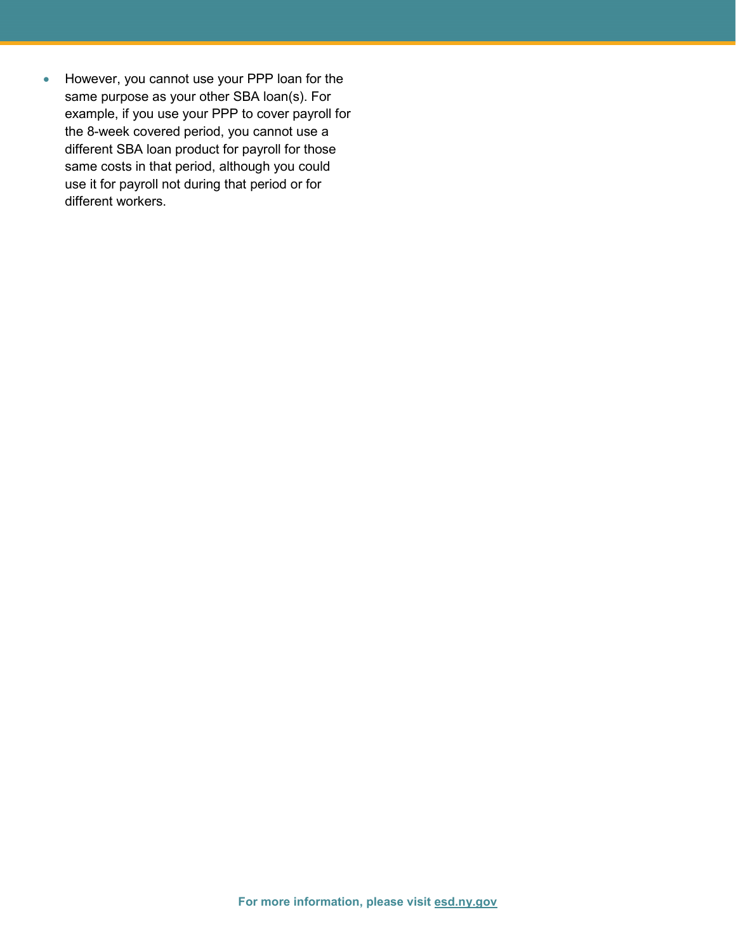• However, you cannot use your PPP loan for the same purpose as your other SBA loan(s). For example, if you use your PPP to cover payroll for the 8-week covered period, you cannot use a different SBA loan product for payroll for those same costs in that period, although you could use it for payroll not during that period or for different workers.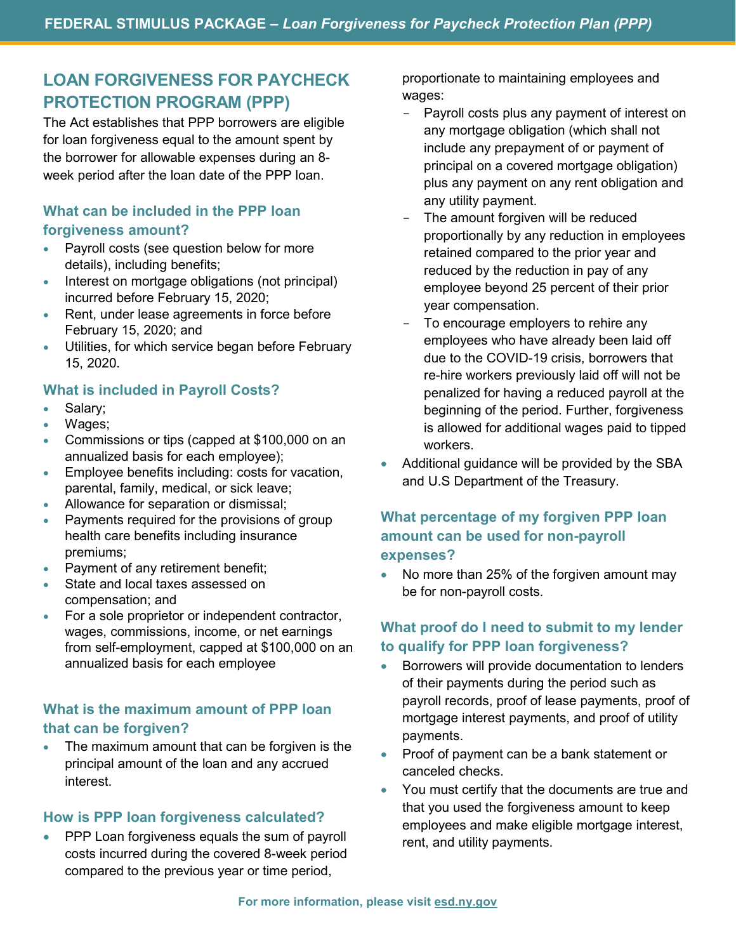# **LOAN FORGIVENESS FOR PAYCHECK PROTECTION PROGRAM (PPP)**

The Act establishes that PPP borrowers are eligible for loan forgiveness equal to the amount spent by the borrower for allowable expenses during an 8 week period after the loan date of the PPP loan.

## **What can be included in the PPP loan forgiveness amount?**

- Payroll costs (see question below for more details), including benefits;
- Interest on mortgage obligations (not principal) incurred before February 15, 2020;
- Rent, under lease agreements in force before February 15, 2020; and
- Utilities, for which service began before February 15, 2020.

# **What is included in Payroll Costs?**

- Salary;
- Wages;
- Commissions or tips (capped at \$100,000 on an annualized basis for each employee);
- Employee benefits including: costs for vacation, parental, family, medical, or sick leave;
- Allowance for separation or dismissal;
- Payments required for the provisions of group health care benefits including insurance premiums;
- Payment of any retirement benefit;
- State and local taxes assessed on compensation; and
- For a sole proprietor or independent contractor, wages, commissions, income, or net earnings from self-employment, capped at \$100,000 on an annualized basis for each employee

# **What is the maximum amount of PPP loan that can be forgiven?**

The maximum amount that can be forgiven is the principal amount of the loan and any accrued interest.

#### **How is PPP loan forgiveness calculated?**

PPP Loan forgiveness equals the sum of payroll costs incurred during the covered 8-week period compared to the previous year or time period,

proportionate to maintaining employees and wages:

- Payroll costs plus any payment of interest on any mortgage obligation (which shall not include any prepayment of or payment of principal on a covered mortgage obligation) plus any payment on any rent obligation and any utility payment.
- The amount forgiven will be reduced proportionally by any reduction in employees retained compared to the prior year and reduced by the reduction in pay of any employee beyond 25 percent of their prior year compensation.
- To encourage employers to rehire any employees who have already been laid off due to the COVID-19 crisis, borrowers that re-hire workers previously laid off will not be penalized for having a reduced payroll at the beginning of the period. Further, forgiveness is allowed for additional wages paid to tipped workers.
- Additional guidance will be provided by the SBA and U.S Department of the Treasury.

# **What percentage of my forgiven PPP loan amount can be used for non-payroll expenses?**

• No more than 25% of the forgiven amount may be for non-payroll costs.

# **What proof do I need to submit to my lender to qualify for PPP loan forgiveness?**

- Borrowers will provide documentation to lenders of their payments during the period such as payroll records, proof of lease payments, proof of mortgage interest payments, and proof of utility payments.
- Proof of payment can be a bank statement or canceled checks.
- You must certify that the documents are true and that you used the forgiveness amount to keep employees and make eligible mortgage interest, rent, and utility payments.